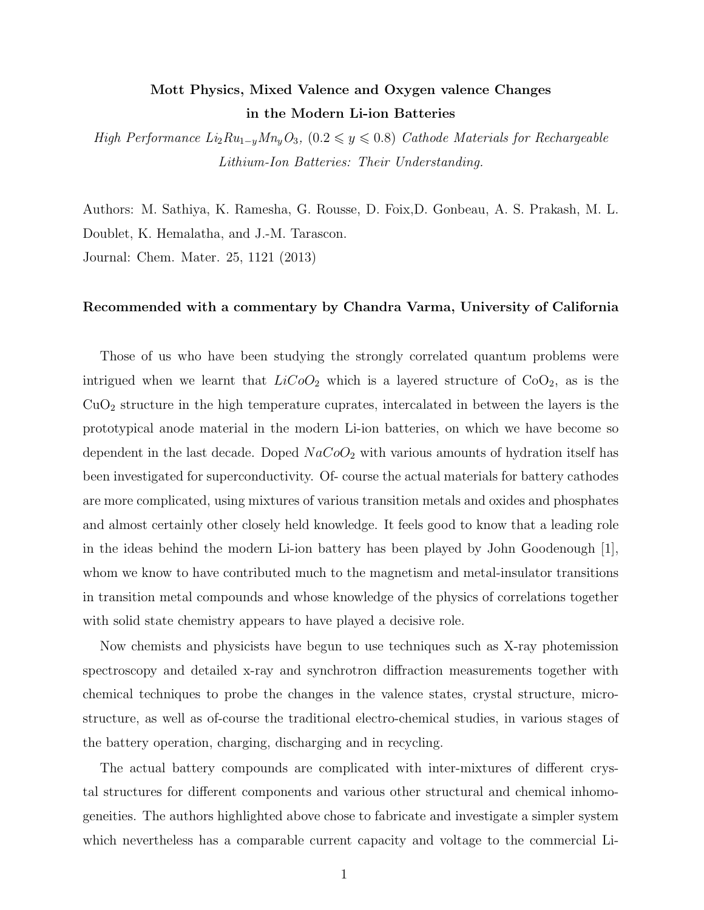## Mott Physics, Mixed Valence and Oxygen valence Changes in the Modern Li-ion Batteries

High Performance  $Li_2Ru_{1-y}Mn_yO_3$ ,  $(0.2 \le y \le 0.8)$  Cathode Materials for Rechargeable Lithium-Ion Batteries: Their Understanding.

Authors: M. Sathiya, K. Ramesha, G. Rousse, D. Foix,D. Gonbeau, A. S. Prakash, M. L. Doublet, K. Hemalatha, and J.-M. Tarascon. Journal: Chem. Mater. 25, 1121 (2013)

## Recommended with a commentary by Chandra Varma, University of California

Those of us who have been studying the strongly correlated quantum problems were intrigued when we learnt that  $LiCoO<sub>2</sub>$  which is a layered structure of  $CoO<sub>2</sub>$ , as is the  $CuO<sub>2</sub>$  structure in the high temperature cuprates, intercalated in between the layers is the prototypical anode material in the modern Li-ion batteries, on which we have become so dependent in the last decade. Doped  $NaCoO<sub>2</sub>$  with various amounts of hydration itself has been investigated for superconductivity. Of- course the actual materials for battery cathodes are more complicated, using mixtures of various transition metals and oxides and phosphates and almost certainly other closely held knowledge. It feels good to know that a leading role in the ideas behind the modern Li-ion battery has been played by John Goodenough [1], whom we know to have contributed much to the magnetism and metal-insulator transitions in transition metal compounds and whose knowledge of the physics of correlations together with solid state chemistry appears to have played a decisive role.

Now chemists and physicists have begun to use techniques such as X-ray photemission spectroscopy and detailed x-ray and synchrotron diffraction measurements together with chemical techniques to probe the changes in the valence states, crystal structure, microstructure, as well as of-course the traditional electro-chemical studies, in various stages of the battery operation, charging, discharging and in recycling.

The actual battery compounds are complicated with inter-mixtures of different crystal structures for different components and various other structural and chemical inhomogeneities. The authors highlighted above chose to fabricate and investigate a simpler system which nevertheless has a comparable current capacity and voltage to the commercial Li-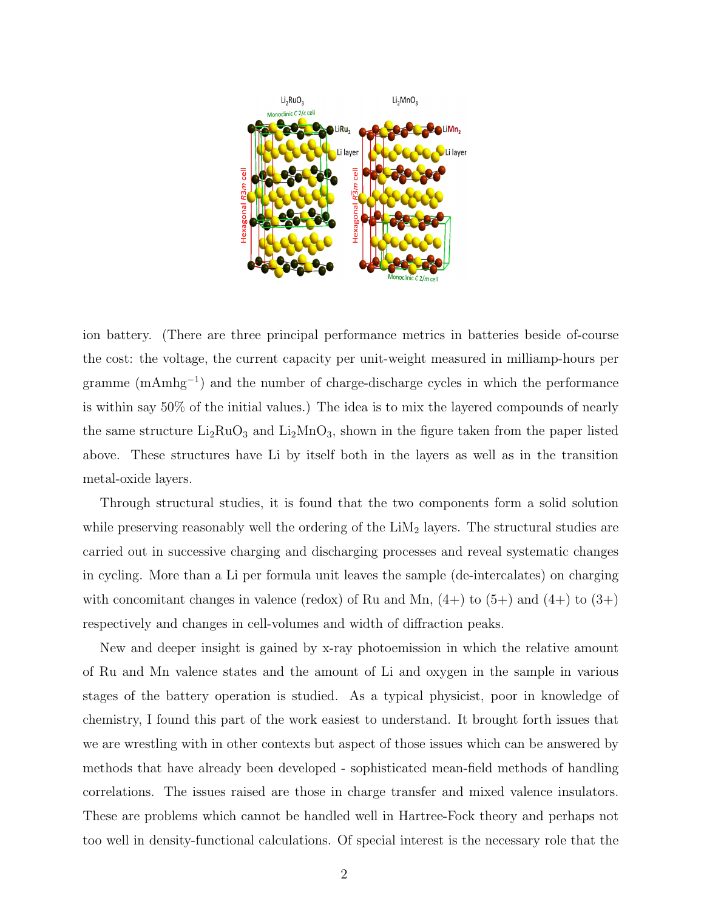

ion battery. (There are three principal performance metrics in batteries beside of-course the cost: the voltage, the current capacity per unit-weight measured in milliamp-hours per gramme (mAmhg<sup>-1</sup>) and the number of charge-discharge cycles in which the performance is within say 50% of the initial values.) The idea is to mix the layered compounds of nearly the same structure  $Li_2RuO_3$  and  $Li_2MnO_3$ , shown in the figure taken from the paper listed above. These structures have Li by itself both in the layers as well as in the transition metal-oxide layers.

Through structural studies, it is found that the two components form a solid solution while preserving reasonably well the ordering of the  $LiM<sub>2</sub>$  layers. The structural studies are carried out in successive charging and discharging processes and reveal systematic changes in cycling. More than a Li per formula unit leaves the sample (de-intercalates) on charging with concomitant changes in valence (redox) of Ru and Mn,  $(4+)$  to  $(5+)$  and  $(4+)$  to  $(3+)$ respectively and changes in cell-volumes and width of diffraction peaks.

New and deeper insight is gained by x-ray photoemission in which the relative amount of Ru and Mn valence states and the amount of Li and oxygen in the sample in various stages of the battery operation is studied. As a typical physicist, poor in knowledge of chemistry, I found this part of the work easiest to understand. It brought forth issues that we are wrestling with in other contexts but aspect of those issues which can be answered by methods that have already been developed - sophisticated mean-field methods of handling correlations. The issues raised are those in charge transfer and mixed valence insulators. These are problems which cannot be handled well in Hartree-Fock theory and perhaps not too well in density-functional calculations. Of special interest is the necessary role that the